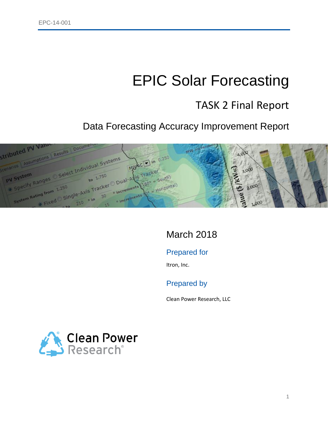# EPIC Solar Forecasting

## TASK 2 Final Report

Data Forecasting Accuracy Improvement Report



## March 2018

### Prepared for

Itron, Inc.

### Prepared by

Clean Power Research, LLC

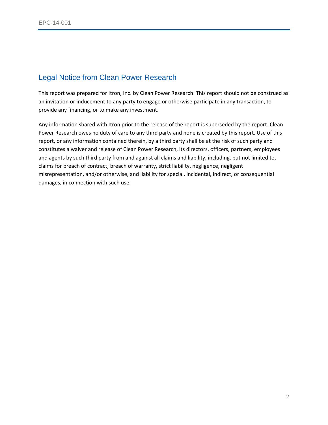### Legal Notice from Clean Power Research

This report was prepared for Itron, Inc. by Clean Power Research. This report should not be construed as an invitation or inducement to any party to engage or otherwise participate in any transaction, to provide any financing, or to make any investment.

Any information shared with Itron prior to the release of the report is superseded by the report. Clean Power Research owes no duty of care to any third party and none is created by this report. Use of this report, or any information contained therein, by a third party shall be at the risk of such party and constitutes a waiver and release of Clean Power Research, its directors, officers, partners, employees and agents by such third party from and against all claims and liability, including, but not limited to, claims for breach of contract, breach of warranty, strict liability, negligence, negligent misrepresentation, and/or otherwise, and liability for special, incidental, indirect, or consequential damages, in connection with such use.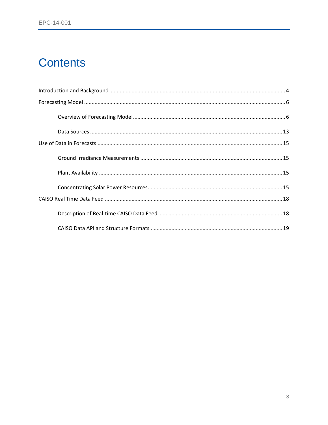## **Contents**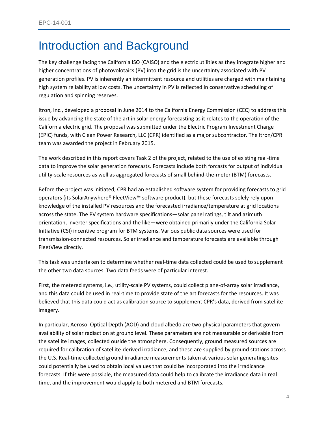## <span id="page-3-0"></span>Introduction and Background

The key challenge facing the California ISO (CAISO) and the electric utilities as they integrate higher and higher concentrations of photovolotaics (PV) into the grid is the uncertainty associated with PV generation profiles. PV is inherently an intermittent resource and utilities are charged with maintaining high system reliability at low costs. The uncertainty in PV is reflected in conservative scheduling of regulation and spinning reserves.

Itron, Inc., developed a proposal in June 2014 to the California Energy Commission (CEC) to address this issue by advancing the state of the art in solar energy forecasting as it relates to the operation of the California electric grid. The proposal was submitted under the Electric Program Investment Charge (EPIC) funds, with Clean Power Research, LLC (CPR) identified as a major subcontractor. The Itron/CPR team was awarded the project in February 2015.

The work described in this report covers Task 2 of the project, related to the use of existing real-time data to improve the solar generation forecasts. Forecasts include both forcasts for output of individual utility-scale resources as well as aggregated forecasts of small behind-the-meter (BTM) forecasts.

Before the project was initiated, CPR had an established software system for providing forecasts to grid operators (its SolarAnywhere® FleetView™ software product), but these forecasts solely rely upon knowledge of the installed PV resources and the forecasted irradiance/temperature at grid locations across the state. The PV system hardware specifications—solar panel ratings, tilt and azimuth orientation, inverter specifications and the like—were obtained primarily under the California Solar Initiative (CSI) incentive program for BTM systems. Various public data sources were used for transmission-connected resources. Solar irradiance and temperature forecasts are available through FleetView directly.

This task was undertaken to determine whether real-time data collected could be used to supplement the other two data sources. Two data feeds were of particular interest.

First, the metered systems, i.e., utility-scale PV systems, could collect plane-of-array solar irradiance, and this data could be used in real-time to provide state of the art forecasts for the resources. It was believed that this data could act as calibration source to supplement CPR's data, derived from satellite imagery.

In particular, Aerosol Optical Depth (AOD) and cloud albedo are two physical parameters that govern availability of solar radiaction at ground level. These parameters are not measurable or derivable from the satellite images, collected ouside the atmosphere. Consequently, ground measured sources are required for calibration of satellite-derived irradiance, and these are supplied by ground stations across the U.S. Real-time collected ground irradiance measurements taken at various solar generating sites could potentially be used to obtain local values that could be incorporated into the irradicance forecasts. If this were possible, the measured data could help to calibrate the irradiance data in real time, and the improvement would apply to both metered and BTM forecasts.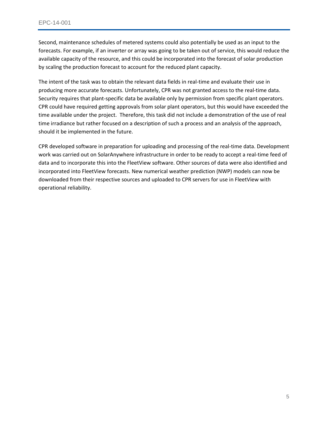Second, maintenance schedules of metered systems could also potentially be used as an input to the forecasts. For example, if an inverter or array was going to be taken out of service, this would reduce the available capacity of the resource, and this could be incorporated into the forecast of solar production by scaling the production forecast to account for the reduced plant capacity.

The intent of the task was to obtain the relevant data fields in real-time and evaluate their use in producing more accurate forecasts. Unfortunately, CPR was not granted access to the real-time data. Security requires that plant-specific data be available only by permission from specific plant operators. CPR could have required getting approvals from solar plant operators, but this would have exceeded the time available under the project. Therefore, this task did not include a demonstration of the use of real time irradiance but rather focused on a description of such a process and an analysis of the approach, should it be implemented in the future.

CPR developed software in preparation for uploading and processing of the real-time data. Development work was carried out on SolarAnywhere infrastructure in order to be ready to accept a real-time feed of data and to incorporate this into the FleetView software. Other sources of data were also identified and incorporated into FleetView forecasts. New numerical weather prediction (NWP) models can now be downloaded from their respective sources and uploaded to CPR servers for use in FleetView with operational reliability.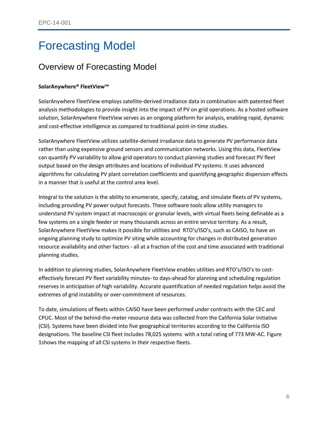## <span id="page-5-0"></span>Forecasting Model

### <span id="page-5-1"></span>Overview of Forecasting Model

#### **SolarAnywhere® FleetView™**

SolarAnywhere FleetView employs satellite-derived irradiance data in combination with patented fleet analysis methodologies to provide insight into the impact of PV on grid operations. As a hosted software solution, SolarAnywhere FleetView serves as an ongoing platform for analysis, enabling rapid, dynamic and cost-effective intelligence as compared to traditional point-in-time studies.

SolarAnywhere FleetView utilizes satellite-derived irradiance data to generate PV performance data rather than using expensive ground sensors and communication networks. Using this data, FleetView can quantify PV variability to allow grid operators to conduct planning studies and forecast PV fleet output based on the design attributes and locations of individual PV systems. It uses advanced algorithms for calculating PV plant correlation coefficients and quantifying geographic dispersion effects in a manner that is useful at the control area level.

Integral to the solution is the ability to enumerate, specify, catalog, and simulate fleets of PV systems, including providing PV power output forecasts. These software tools allow utility managers to understand PV system impact at macroscopic or granular levels, with virtual fleets being definable as a few systems on a single feeder or many thousands across an entire service territory. As a result, SolarAnywhere FleetView makes it possible for utilities and RTO's/ISO's, such as CAISO, to have an ongoing planning study to optimize PV siting while accounting for changes in distributed generation resource availability and other factors - all at a fraction of the cost and time associated with traditional planning studies.

In addition to planning studies, SolarAnywhere FleetView enables utilities and RTO's/ISO's to costeffectively forecast PV fleet variability minutes- to days-ahead for planning and scheduling regulation reserves in anticipation of high variability. Accurate quantification of needed regulation helps avoid the extremes of grid instability or over-commitment of resources.

To date, simulations of fleets within CAISO have been performed under contracts with the CEC and CPUC. Most of the behind-the-meter resource data was collected from the California Solar Initiative (CSI). Systems have been divided into five geographical territories according to the California ISO designations. The baseline CSI fleet includes 78,025 systems with a total rating of 773 MW-AC. [Figure](#page-6-0)  [1s](#page-6-0)hows the mapping of all CSI systems in their respective fleets.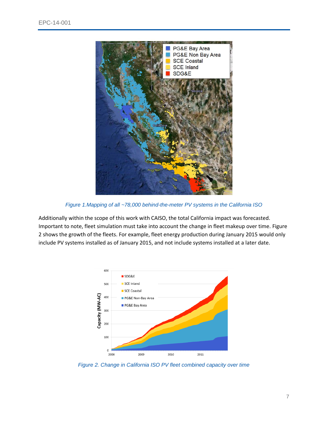

*Figure 1.Mapping of all ~78,000 behind-the-meter PV systems in the California ISO*

<span id="page-6-0"></span>Additionally within the scope of this work with CAISO, the total California impact was forecasted. Important to note, fleet simulation must take into account the change in fleet makeup over time. [Figure](#page-6-1)  [2](#page-6-1) shows the growth of the fleets. For example, fleet energy production during January 2015 would only include PV systems installed as of January 2015, and not include systems installed at a later date.



<span id="page-6-1"></span>*Figure 2. Change in California ISO PV fleet combined capacity over time*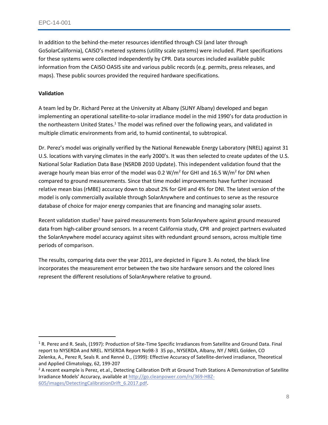In addition to the behind-the-meter resources identified through CSI (and later through GoSolarCalifornia), CAISO's metered systems (utility scale systems) were included. Plant specifications for these systems were collected independently by CPR. Data sources included available public information from the CAISO OASIS site and various public records (e.g. permits, press releases, and maps). These public sources provided the required hardware specifications.

#### **Validation**

l

A team led by Dr. Richard Perez at the University at Albany (SUNY Albany) developed and began implementing an operational satellite-to-solar irradiance model in the mid 1990's for data production in the northeastern United States.<sup>1</sup> The model was refined over the following years, and validated in multiple climatic environments from arid, to humid continental, to subtropical.

Dr. Perez's model was originally verified by the National Renewable Energy Laboratory (NREL) against 31 U.S. locations with varying climates in the early 2000's. It was then selected to create updates of the U.S. National Solar Radiation Data Base (NSRDB 2010 Update). This independent validation found that the average hourly mean bias error of the model was 0.2 W/m<sup>2</sup> for GHI and 16.5 W/m<sup>2</sup> for DNI when compared to ground measurements. Since that time model improvements have further increased relative mean bias (rMBE) accuracy down to about 2% for GHI and 4% for DNI. The latest version of the model is only commercially available through SolarAnywhere and continues to serve as the resource database of choice for major energy companies that are financing and managing solar assets.

Recent validation studies<sup>2</sup> have paired measurements from SolarAnywhere against ground measured data from high-caliber ground sensors. In a recent California study, CPR and project partners evaluated the SolarAnywhere model accuracy against sites with redundant ground sensors, across multiple time periods of comparison.

The results, comparing data over the year 2011, are depicted in [Figure 3.](#page-8-0) As noted, the black line incorporates the measurement error between the two site hardware sensors and the colored lines represent the different resolutions of SolarAnywhere relative to ground.

<sup>&</sup>lt;sup>1</sup> R. Perez and R. Seals, (1997): Production of Site-Time Specific Irradiances from Satellite and Ground Data. Final report to NYSERDA and NREL. NYSERDA Report No98-3 35 pp., NYSERDA, Albany, NY / NREL Golden, CO Zelenka, A., Perez R, Seals R. and Renné D., (1999): Effective Accuracy of Satellite-derived irradiance, Theoretical and Applied Climatology, 62, 199-207

<sup>&</sup>lt;sup>2</sup> A recent example is Perez, et.al., Detecting Calibration Drift at Ground Truth Stations A Demonstration of Satellite Irradiance Models' Accuracy, available at [http://go.cleanpower.com/rs/369-HBZ-](http://go.cleanpower.com/rs/369-HBZ-605/images/DetectingCalibrationDrift_6.2017.pdf)[605/images/DetectingCalibrationDrift\\_6.2017.pdf.](http://go.cleanpower.com/rs/369-HBZ-605/images/DetectingCalibrationDrift_6.2017.pdf)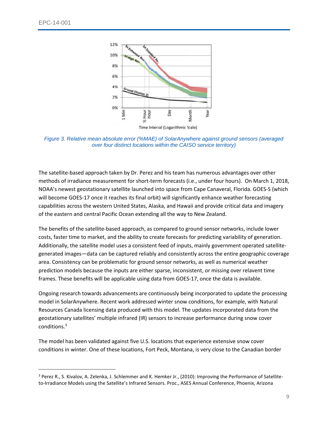$\overline{a}$ 



<span id="page-8-0"></span>*Figure 3. Relative mean absolute error (%MAE) of SolarAnywhere against ground sensors (averaged over four distinct locations within the CAISO service territory)*

The satellite-based approach taken by Dr. Perez and his team has numerous advantages over other methods of irradiance measurement for short-term forecasts (i.e., under four hours). On March 1, 2018, NOAA's newest geostationary satellite launched into space from Cape Canaveral, Florida. GOES-S (which will become GOES-17 once it reaches its final orbit) will significantly enhance weather forecasting capabilities across the western United States, Alaska, and Hawaii and provide critical data and imagery of the eastern and central Pacific Ocean extending all the way to New Zealand.

The benefits of the satellite-based approach, as compared to ground sensor networks, include lower costs, faster time to market, and the ability to create forecasts for predicting variability of generation. Additionally, the satellite model uses a consistent feed of inputs, mainly government operated satellitegenerated images—data can be captured reliably and consistently across the entire geographic coverage area. Consistency can be problematic for ground sensor networks, as well as numerical weather prediction models because the inputs are either sparse, inconsistent, or missing over relavent time frames. These benefits will be applicable using data from GOES-17, once the data is available.

Ongoing research towards advancements are continuously being incorporated to update the processing model in SolarAnywhere. Recent work addressed winter snow conditions, for example, with Natural Resources Canada licensing data produced with this model. The updates incorporated data from the geostationary satellites' multiple infrared (IR) sensors to increase performance during snow cover conditions.<sup>3</sup>

The model has been validated against five U.S. locations that experience extensive snow cover conditions in winter. One of these locations, Fort Peck, Montana, is very close to the Canadian border

<sup>3</sup> Perez R., S. Kivalov, A. Zelenka, J. Schlemmer and K. Hemker Jr., (2010): Improving the Performance of Satelliteto-Irradiance Models using the Satellite's Infrared Sensors. Proc., ASES Annual Conference, Phoenix, Arizona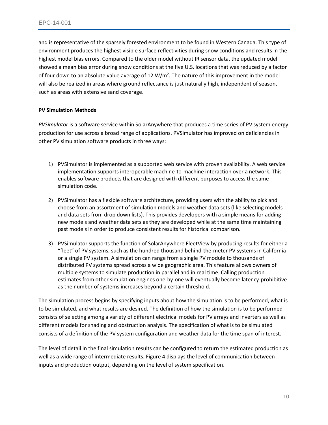and is representative of the sparsely forested environment to be found in Western Canada. This type of environment produces the highest visible surface reflectivities during snow conditions and results in the highest model bias errors. Compared to the older model without IR sensor data, the updated model showed a mean bias error during snow conditions at the five U.S. locations that was reduced by a factor of four down to an absolute value average of 12  $W/m^2$ . The nature of this improvement in the model will also be realized in areas where ground reflectance is just naturally high, independent of season, such as areas with extensive sand coverage.

#### **PV Simulation Methods**

*PVSimulator* is a software service within SolarAnywhere that produces a time series of PV system energy production for use across a broad range of applications. PVSimulator has improved on deficiencies in other PV simulation software products in three ways:

- 1) PVSimulator is implemented as a supported web service with proven availability. A web service implementation supports interoperable machine-to-machine interaction over a network. This enables software products that are designed with different purposes to access the same simulation code.
- 2) PVSimulator has a flexible software architecture, providing users with the ability to pick and choose from an assortment of simulation models and weather data sets (like selecting models and data sets from drop down lists). This provides developers with a simple means for adding new models and weather data sets as they are developed while at the same time maintaining past models in order to produce consistent results for historical comparison.
- 3) PVSimulator supports the function of SolarAnywhere FleetView by producing results for either a "fleet" of PV systems, such as the hundred thousand behind-the-meter PV systems in California or a single PV system. A simulation can range from a single PV module to thousands of distributed PV systems spread across a wide geographic area. This feature allows owners of multiple systems to simulate production in parallel and in real time. Calling production estimates from other simulation engines one-by-one will eventually become latency-prohibitive as the number of systems increases beyond a certain threshold.

The simulation process begins by specifying inputs about how the simulation is to be performed, what is to be simulated, and what results are desired. The definition of how the simulation is to be performed consists of selecting among a variety of different electrical models for PV arrays and inverters as well as different models for shading and obstruction analysis. The specification of what is to be simulated consists of a definition of the PV system configuration and weather data for the time span of interest.

The level of detail in the final simulation results can be configured to return the estimated production as well as a wide range of intermediate results. [Figure 4](#page-10-0) displays the level of communication between inputs and production output, depending on the level of system specification.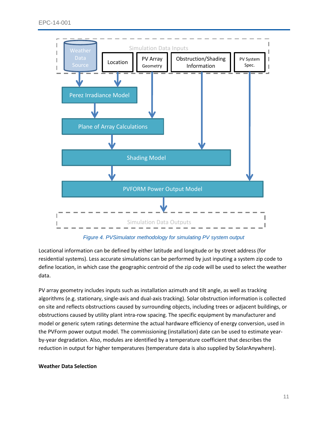

*Figure 4. PVSimulator methodology for simulating PV system output*

<span id="page-10-0"></span>Locational information can be defined by either latitude and longitude or by street address (for residential systems). Less accurate simulations can be performed by just inputing a system zip code to define location, in which case the geographic centroid of the zip code will be used to select the weather data.

PV array geometry includes inputs such as installation azimuth and tilt angle, as well as tracking algorithms (e.g. stationary, single-axis and dual-axis tracking). Solar obstruction information is collected on site and reflects obstructions caused by surrounding objects, including trees or adjacent buildings, or obstructions caused by utility plant intra-row spacing. The specific equipment by manufacturer and model or generic sytem ratings determine the actual hardware efficiency of energy conversion, used in the PVForm power output model. The commissioning (installation) date can be used to estimate yearby-year degradation. Also, modules are identified by a temperature coefficient that describes the reduction in output for higher temperatures (temperature data is also supplied by SolarAnywhere).

#### **Weather Data Selection**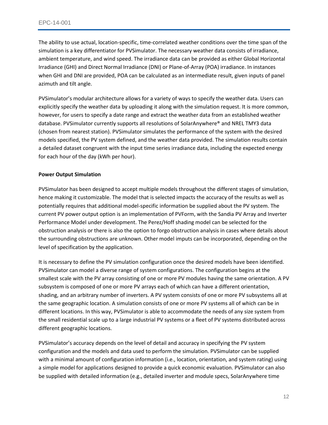The ability to use actual, location-specific, time-correlated weather conditions over the time span of the simulation is a key differentiator for PVSimulator. The necessary weather data consists of irradiance, ambient temperature, and wind speed. The irradiance data can be provided as either Global Horizontal Irradiance (GHI) and Direct Normal Irradiance (DNI) or Plane-of-Array (POA) irradiance. In instances when GHI and DNI are provided, POA can be calculated as an intermediate result, given inputs of panel azimuth and tilt angle.

PVSimulator's modular architecture allows for a variety of ways to specify the weather data. Users can explicitly specify the weather data by uploading it along with the simulation request. It is more common, however, for users to specify a date range and extract the weather data from an established weather database. PVSimulator currently supports all resolutions of SolarAnywhere® and NREL TMY3 data (chosen from nearest station). PVSimulator simulates the performance of the system with the desired models specified, the PV system defined, and the weather data provided. The simulation results contain a detailed dataset congruent with the input time series irradiance data, including the expected energy for each hour of the day (kWh per hour).

#### **Power Output Simulation**

PVSimulator has been designed to accept multiple models throughout the different stages of simulation, hence making it customizable. The model that is selected impacts the accuracy of the results as well as potentially requires that additional model-specific information be supplied about the PV system. The current PV power output option is an implementation of PVForm, with the Sandia PV Array and Inverter Performance Model under development. The Perez/Hoff shading model can be selected for the obstruction analysis or there is also the option to forgo obstruction analysis in cases where details about the surrounding obstructions are unknown. Other model imputs can be incorporated, depending on the level of specification by the application.

It is necessary to define the PV simulation configuration once the desired models have been identified. PVSimulator can model a diverse range of system configurations. The configuration begins at the smallest scale with the PV array consisting of one or more PV modules having the same orientation. A PV subsystem is composed of one or more PV arrays each of which can have a different orientation, shading, and an arbitrary number of inverters. A PV system consists of one or more PV subsystems all at the same geographic location. A simulation consists of one or more PV systems all of which can be in different locations. In this way, PVSimulator is able to accommodate the needs of any size system from the small residential scale up to a large industrial PV systems or a fleet of PV systems distributed across different geographic locations.

PVSimulator's accuracy depends on the level of detail and accuracy in specifying the PV system configuration and the models and data used to perform the simulation. PVSimulator can be supplied with a minimal amount of configuration information (i.e., location, orientation, and system rating) using a simple model for applications designed to provide a quick economic evaluation. PVSimulator can also be supplied with detailed information (e.g., detailed inverter and module specs, SolarAnywhere time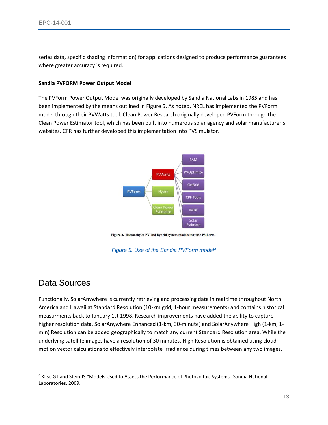series data, specific shading information) for applications designed to produce performance guarantees where greater accuracy is required.

#### **Sandia PVFORM Power Output Model**

The PVForm Power Output Model was originally developed by Sandia National Labs in 1985 and has been implemented by the means outlined in [Figure 5.](#page-12-1) As noted, NREL has implemented the PVForm model through their PVWatts tool. Clean Power Research originally developed PVForm through the Clean Power Estimator tool, which has been built into numerous solar agency and solar manufacturer's websites. CPR has further developed this implementation into PVSimulator.



Figure 2. Hierarchy of PV and hybrid system models that use PVForm

*Figure 5. Use of the Sandia PVForm model<sup>4</sup>*

### <span id="page-12-1"></span><span id="page-12-0"></span>Data Sources

 $\overline{a}$ 

Functionally, SolarAnywhere is currently retrieving and processing data in real time throughout North America and Hawaii at Standard Resolution (10-km grid, 1-hour measurements) and contains historical measurments back to January 1st 1998. Research improvements have added the ability to capture higher resolution data. SolarAnywhere Enhanced (1-km, 30-minute) and SolarAnywhere High (1-km, 1 min) Resolution can be added geographically to match any current Standard Resolution area. While the underlying satellite images have a resolution of 30 minutes, High Resolution is obtained using cloud motion vector calculations to effectively interpolate irradiance during times between any two images.

<sup>4</sup> Klise GT and Stein JS "Models Used to Assess the Performance of Photovoltaic Systems" Sandia National Laboratories, 2009.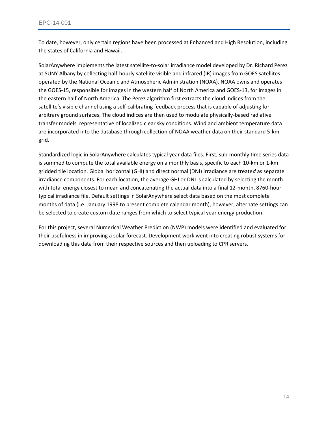To date, however, only certain regions have been processed at Enhanced and High Resolution, including the states of California and Hawaii.

SolarAnywhere implements the latest satellite-to-solar irradiance model developed by Dr. Richard Perez at SUNY Albany by collecting half-hourly satellite visible and infrared (IR) images from GOES satellites operated by the National Oceanic and Atmospheric Administration (NOAA). NOAA owns and operates the GOES-15, responsible for images in the western half of North America and GOES-13, for images in the eastern half of North America. The Perez algorithm first extracts the cloud indices from the satellite's visible channel using a self-calibrating feedback process that is capable of adjusting for arbitrary ground surfaces. The cloud indices are then used to modulate physically-based radiative transfer models representative of localized clear sky conditions. Wind and ambient temperature data are incorporated into the database through collection of NOAA weather data on their standard 5-km grid.

Standardized logic in SolarAnywhere calculates typical year data files. First, sub-monthly time series data is summed to compute the total available energy on a monthly basis, specific to each 10-km or 1-km gridded tile location. Global horizontal (GHI) and direct normal (DNI) irradiance are treate*d* as separate irradiance components. For each location, the average GHI or DNI is calculated by selecting the month with total energy closest to mean and concatenating the actual data into a final 12-month, 8760-hour typical irradiance file. Default settings in SolarAnywhere select data based on the most complete months of data (i.e. January 1998 to present complete calendar month), however, alternate settings can be selected to create custom date ranges from which to select typical year energy production.

For this project, several Numerical Weather Prediction (NWP) models were identified and evaluated for their usefulness in improving a solar forecast. Development work went into creating robust systems for downloading this data from their respective sources and then uploading to CPR servers.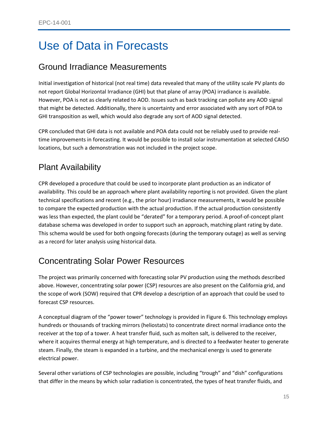## <span id="page-14-0"></span>Use of Data in Forecasts

### <span id="page-14-1"></span>Ground Irradiance Measurements

Initial investigation of historical (not real time) data revealed that many of the utility scale PV plants do not report Global Horizontal Irradiance (GHI) but that plane of array (POA) irradiance is available. However, POA is not as clearly related to AOD. Issues such as back tracking can pollute any AOD signal that might be detected. Additionally, there is uncertainty and error associated with any sort of POA to GHI transposition as well, which would also degrade any sort of AOD signal detected.

CPR concluded that GHI data is not available and POA data could not be reliably used to provide realtime improvements in forecasting. It would be possible to install solar instrumentation at selected CAISO locations, but such a demonstration was not included in the project scope.

## <span id="page-14-2"></span>Plant Availability

CPR developed a procedure that could be used to incorporate plant production as an indicator of availability. This could be an approach where plant availability reporting is not provided. Given the plant technical specifications and recent (e.g., the prior hour) irradiance measurements, it would be possible to compare the expected production with the actual production. If the actual production consistently was less than expected, the plant could be "derated" for a temporary period. A proof-of-concept plant database schema was developed in order to support such an approach, matching plant rating by date. This schema would be used for both ongoing forecasts (during the temporary outage) as well as serving as a record for later analysis using historical data.

## <span id="page-14-3"></span>Concentrating Solar Power Resources

The project was primarily concerned with forecasting solar PV production using the methods described above. However, concentrating solar power (CSP) resources are also present on the California grid, and the scope of work (SOW) required that CPR develop a description of an approach that could be used to forecast CSP resources.

A conceptual diagram of the "power tower" technology is provided in [Figure 6.](#page-15-0) This technology employs hundreds or thousands of tracking mirrors (heliostats) to concentrate direct normal irradiance onto the receiver at the top of a tower. A heat transfer fluid, such as molten salt, is delivered to the receiver, where it acquires thermal energy at high temperature, and is directed to a feedwater heater to generate steam. Finally, the steam is expanded in a turbine, and the mechanical energy is used to generate electrical power.

Several other variations of CSP technologies are possible, including "trough" and "dish" configurations that differ in the means by which solar radiation is concentrated, the types of heat transfer fluids, and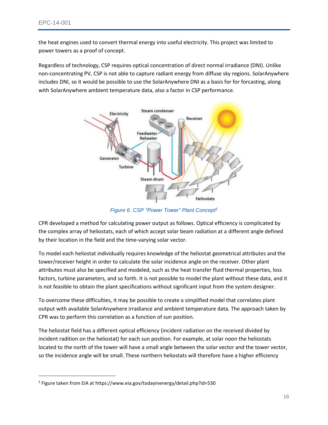$\overline{\phantom{a}}$ 

the heat engines used to convert thermal energy into useful electricity. This project was limited to power towers as a proof of concept.

Regardless of technology, CSP requires optical concentration of direct normal irradiance (DNI). Unlike non-concentrating PV, CSP is not able to capture radiant energy from diffuse sky regions. SolarAnywhere includes DNI, so it would be possible to use the SolarAnywhere DNI as a basis for for forcasting, along with SolarAnywhere ambient temperature data, also a factor in CSP performance.



*Figure 6. CSP "Power Tower" Plant Concept<sup>5</sup>*

<span id="page-15-0"></span>CPR developed a method for calculating power output as follows. Optical efficiency is complicated by the complex array of heliostats, each of which accept solar beam radiation at a different angle defined by their location in the field and the time-varying solar vector.

To model each heliostat individually requires knowledge of the heliostat geometrical attributes and the tower/receiver height in order to calculate the solar incidence angle on the receiver. Other plant attributes must also be specified and modeled, such as the heat transfer fluid thermal properties, loss factors, turbine parameters, and so forth. It is not possible to model the plant without these data, and it is not feasible to obtain the plant specifications without significant input from the system designer.

To overcome these difficulties, it may be possible to create a simplified model that correlates plant output with available SolarAnywhere irradiance and ambient temperature data. The approach taken by CPR was to perform this correlation as a function of sun position.

The heliostat field has a different optical efficiency (incident radiation on the received divided by incident radition on the heliostat) for each sun position. For example, at solar noon the heliostats located to the north of the tower will have a small angle between the solar vector and the tower vector, so the incidence angle will be small. These northern heliostats will therefore have a higher efficiency

<sup>5</sup> Figure taken from EIA at https://www.eia.gov/todayinenergy/detail.php?id=530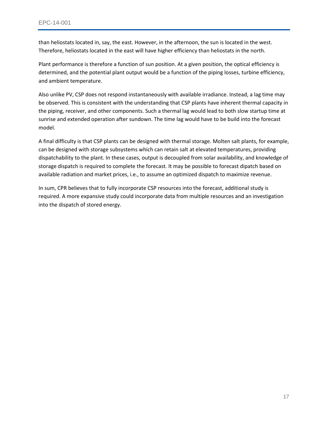than heliostats located in, say, the east. However, in the afternoon, the sun is located in the west. Therefore, heliostats located in the east will have higher efficiency than heliostats in the north.

Plant performance is therefore a function of sun position. At a given position, the optical efficiency is determined, and the potential plant output would be a function of the piping losses, turbine efficiency, and ambient temperature.

Also unlike PV, CSP does not respond instantaneously with available irradiance. Instead, a lag time may be observed. This is consistent with the understanding that CSP plants have inherent thermal capacity in the piping, receiver, and other components. Such a thermal lag would lead to both slow startup time at sunrise and extended operation after sundown. The time lag would have to be build into the forecast model.

A final difficulty is that CSP plants can be designed with thermal storage. Molten salt plants, for example, can be designed with storage subsystems which can retain salt at elevated temperatures, providing dispatchability to the plant. In these cases, output is decoupled from solar availability, and knowledge of storage dispatch is required to complete the forecast. It may be possible to forecast dipatch based on available radiation and market prices, i.e., to assume an optimized dispatch to maximize revenue.

In sum, CPR believes that to fully incorporate CSP resources into the forecast, additional study is required. A more expansive study could incorporate data from multiple resources and an investigation into the dispatch of stored energy.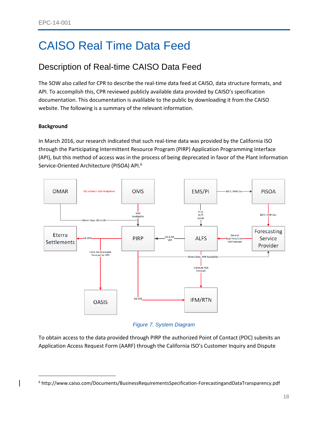## <span id="page-17-0"></span>CAISO Real Time Data Feed

## <span id="page-17-1"></span>Description of Real-time CAISO Data Feed

The SOW also called for CPR to describe the real-time data feed at CAISO, data structure formats, and API. To accomplish this, CPR reviewed publicly available data provided by CAISO's specification documentation. This documentation is avalilable to the public by downloading it from the CAISO website. The following is a summary of the relevant information.

#### **Background**

 $\overline{\phantom{a}}$ 

In March 2016, our research indicated that such real-time data was provided by the California ISO through the Participating Intermittent Resource Program (PIRP) Application Programming Interface (API), but this method of access was in the process of being deprecated in favor of the Plant Information Service-Oriented Architecture (PISOA) API.<sup>6</sup>



#### *Figure 7. System Diagram*

To obtain access to the data provided through PIRP the authorized Point of Contact (POC) submits an Application Access Request Form (AARF) through the California ISO's Customer Inquiry and Dispute

<sup>6</sup> http://www.caiso.com/Documents/BusinessRequirementsSpecification-ForecastingandDataTransparency.pdf